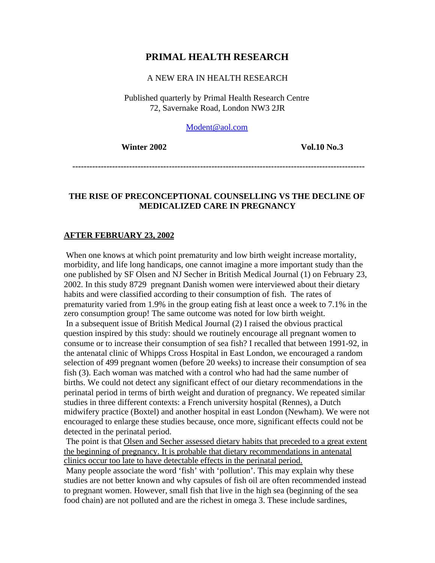# **PRIMAL HEALTH RESEARCH**

### A NEW ERA IN HEALTH RESEARCH

Published quarterly by Primal Health Research Centre 72, Savernake Road, London NW3 2JR

[Modent@aol.com](mailto:Modent@aol.com)

*Winter 2002* Vol.10 No.3

 **-------------------------------------------------------------------------------------------------------**

# **THE RISE OF PRECONCEPTIONAL COUNSELLING VS THE DECLINE OF MEDICALIZED CARE IN PREGNANCY**

### **AFTER FEBRUARY 23, 2002**

When one knows at which point prematurity and low birth weight increase mortality, morbidity, and life long handicaps, one cannot imagine a more important study than the one published by SF Olsen and NJ Secher in British Medical Journal (1) on February 23, 2002. In this study 8729 pregnant Danish women were interviewed about their dietary habits and were classified according to their consumption of fish. The rates of prematurity varied from 1.9% in the group eating fish at least once a week to 7.1% in the zero consumption group! The same outcome was noted for low birth weight. In a subsequent issue of British Medical Journal (2) I raised the obvious practical question inspired by this study: should we routinely encourage all pregnant women to consume or to increase their consumption of sea fish? I recalled that between 1991-92, in the antenatal clinic of Whipps Cross Hospital in East London, we encouraged a random selection of 499 pregnant women (before 20 weeks) to increase their consumption of sea fish (3). Each woman was matched with a control who had had the same number of births. We could not detect any significant effect of our dietary recommendations in the perinatal period in terms of birth weight and duration of pregnancy. We repeated similar studies in three different contexts: a French university hospital (Rennes), a Dutch midwifery practice (Boxtel) and another hospital in east London (Newham). We were not encouraged to enlarge these studies because, once more, significant effects could not be detected in the perinatal period.

The point is that Olsen and Secher assessed dietary habits that preceded to a great extent the beginning of pregnancy. It is probable that dietary recommendations in antenatal clinics occur too late to have detectable effects in the perinatal period.

 Many people associate the word 'fish' with 'pollution'. This may explain why these studies are not better known and why capsules of fish oil are often recommended instead to pregnant women. However, small fish that live in the high sea (beginning of the sea food chain) are not polluted and are the richest in omega 3. These include sardines,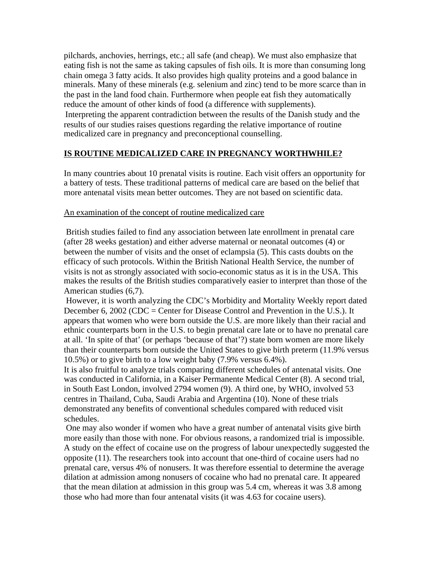pilchards, anchovies, herrings, etc.; all safe (and cheap). We must also emphasize that eating fish is not the same as taking capsules of fish oils. It is more than consuming long chain omega 3 fatty acids. It also provides high quality proteins and a good balance in minerals. Many of these minerals (e.g. selenium and zinc) tend to be more scarce than in the past in the land food chain. Furthermore when people eat fish they automatically reduce the amount of other kinds of food (a difference with supplements). Interpreting the apparent contradiction between the results of the Danish study and the results of our studies raises questions regarding the relative importance of routine medicalized care in pregnancy and preconceptional counselling.

# **IS ROUTINE MEDICALIZED CARE IN PREGNANCY WORTHWHILE?**

In many countries about 10 prenatal visits is routine. Each visit offers an opportunity for a battery of tests. These traditional patterns of medical care are based on the belief that more antenatal visits mean better outcomes. They are not based on scientific data.

### An examination of the concept of routine medicalized care

 British studies failed to find any association between late enrollment in prenatal care (after 28 weeks gestation) and either adverse maternal or neonatal outcomes (4) or between the number of visits and the onset of eclampsia (5). This casts doubts on the efficacy of such protocols. Within the British National Health Service, the number of visits is not as strongly associated with socio-economic status as it is in the USA. This makes the results of the British studies comparatively easier to interpret than those of the American studies (6,7).

 However, it is worth analyzing the CDC's Morbidity and Mortality Weekly report dated December 6, 2002 (CDC = Center for Disease Control and Prevention in the U.S.). It appears that women who were born outside the U.S. are more likely than their racial and ethnic counterparts born in the U.S. to begin prenatal care late or to have no prenatal care at all. 'In spite of that' (or perhaps 'because of that'?) state born women are more likely than their counterparts born outside the United States to give birth preterm (11.9% versus 10.5%) or to give birth to a low weight baby (7.9% versus 6.4%).

It is also fruitful to analyze trials comparing different schedules of antenatal visits. One was conducted in California, in a Kaiser Permanente Medical Center (8). A second trial, in South East London, involved 2794 women (9). A third one, by WHO, involved 53 centres in Thailand, Cuba, Saudi Arabia and Argentina (10). None of these trials demonstrated any benefits of conventional schedules compared with reduced visit schedules.

 One may also wonder if women who have a great number of antenatal visits give birth more easily than those with none. For obvious reasons, a randomized trial is impossible. A study on the effect of cocaine use on the progress of labour unexpectedly suggested the opposite (11). The researchers took into account that one-third of cocaine users had no prenatal care, versus 4% of nonusers. It was therefore essential to determine the average dilation at admission among nonusers of cocaine who had no prenatal care. It appeared that the mean dilation at admission in this group was 5.4 cm, whereas it was 3.8 among those who had more than four antenatal visits (it was 4.63 for cocaine users).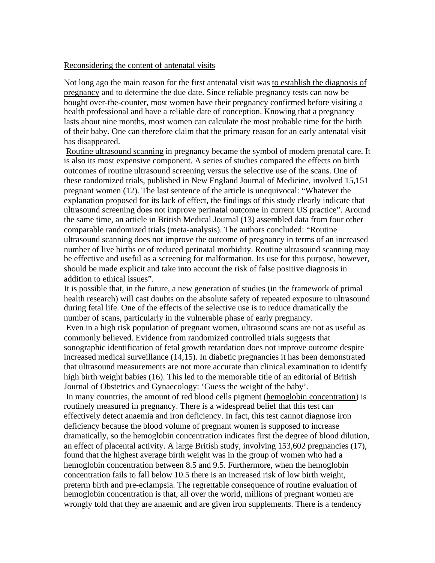#### Reconsidering the content of antenatal visits

Not long ago the main reason for the first antenatal visit was to establish the diagnosis of pregnancy and to determine the due date. Since reliable pregnancy tests can now be bought over-the-counter, most women have their pregnancy confirmed before visiting a health professional and have a reliable date of conception. Knowing that a pregnancy lasts about nine months, most women can calculate the most probable time for the birth of their baby. One can therefore claim that the primary reason for an early antenatal visit has disappeared.

Routine ultrasound scanning in pregnancy became the symbol of modern prenatal care. It is also its most expensive component. A series of studies compared the effects on birth outcomes of routine ultrasound screening versus the selective use of the scans. One of these randomized trials, published in New England Journal of Medicine, involved 15,151 pregnant women (12). The last sentence of the article is unequivocal: "Whatever the explanation proposed for its lack of effect, the findings of this study clearly indicate that ultrasound screening does not improve perinatal outcome in current US practice". Around the same time, an article in British Medical Journal (13) assembled data from four other comparable randomized trials (meta-analysis). The authors concluded: "Routine ultrasound scanning does not improve the outcome of pregnancy in terms of an increased number of live births or of reduced perinatal morbidity. Routine ultrasound scanning may be effective and useful as a screening for malformation. Its use for this purpose, however, should be made explicit and take into account the risk of false positive diagnosis in addition to ethical issues".

It is possible that, in the future, a new generation of studies (in the framework of primal health research) will cast doubts on the absolute safety of repeated exposure to ultrasound during fetal life. One of the effects of the selective use is to reduce dramatically the number of scans, particularly in the vulnerable phase of early pregnancy.

 Even in a high risk population of pregnant women, ultrasound scans are not as useful as commonly believed. Evidence from randomized controlled trials suggests that sonographic identification of fetal growth retardation does not improve outcome despite increased medical surveillance (14,15). In diabetic pregnancies it has been demonstrated that ultrasound measurements are not more accurate than clinical examination to identify high birth weight babies (16). This led to the memorable title of an editorial of British Journal of Obstetrics and Gynaecology: 'Guess the weight of the baby'.

 In many countries, the amount of red blood cells pigment (hemoglobin concentration) is routinely measured in pregnancy. There is a widespread belief that this test can effectively detect anaemia and iron deficiency. In fact, this test cannot diagnose iron deficiency because the blood volume of pregnant women is supposed to increase dramatically, so the hemoglobin concentration indicates first the degree of blood dilution, an effect of placental activity. A large British study, involving 153,602 pregnancies (17), found that the highest average birth weight was in the group of women who had a hemoglobin concentration between 8.5 and 9.5. Furthermore, when the hemoglobin concentration fails to fall below 10.5 there is an increased risk of low birth weight, preterm birth and pre-eclampsia. The regrettable consequence of routine evaluation of hemoglobin concentration is that, all over the world, millions of pregnant women are wrongly told that they are anaemic and are given iron supplements. There is a tendency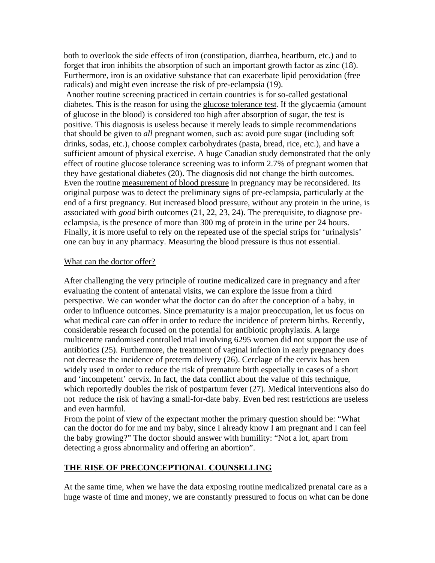both to overlook the side effects of iron (constipation, diarrhea, heartburn, etc.) and to forget that iron inhibits the absorption of such an important growth factor as zinc (18). Furthermore, iron is an oxidative substance that can exacerbate lipid peroxidation (free radicals) and might even increase the risk of pre-eclampsia (19).

 Another routine screening practiced in certain countries is for so-called gestational diabetes. This is the reason for using the glucose tolerance test. If the glycaemia (amount of glucose in the blood) is considered too high after absorption of sugar, the test is positive. This diagnosis is useless because it merely leads to simple recommendations that should be given to *all* pregnant women, such as: avoid pure sugar (including soft drinks, sodas, etc.), choose complex carbohydrates (pasta, bread, rice, etc.), and have a sufficient amount of physical exercise. A huge Canadian study demonstrated that the only effect of routine glucose tolerance screening was to inform 2.7% of pregnant women that they have gestational diabetes (20). The diagnosis did not change the birth outcomes. Even the routine measurement of blood pressure in pregnancy may be reconsidered. Its original purpose was to detect the preliminary signs of pre-eclampsia, particularly at the end of a first pregnancy. But increased blood pressure, without any protein in the urine, is associated with *good* birth outcomes (21, 22, 23, 24). The prerequisite, to diagnose preeclampsia, is the presence of more than 300 mg of protein in the urine per 24 hours. Finally, it is more useful to rely on the repeated use of the special strips for 'urinalysis' one can buy in any pharmacy. Measuring the blood pressure is thus not essential.

### What can the doctor offer?

After challenging the very principle of routine medicalized care in pregnancy and after evaluating the content of antenatal visits, we can explore the issue from a third perspective. We can wonder what the doctor can do after the conception of a baby, in order to influence outcomes. Since prematurity is a major preoccupation, let us focus on what medical care can offer in order to reduce the incidence of preterm births. Recently, considerable research focused on the potential for antibiotic prophylaxis. A large multicentre randomised controlled trial involving 6295 women did not support the use of antibiotics (25). Furthermore, the treatment of vaginal infection in early pregnancy does not decrease the incidence of preterm delivery (26). Cerclage of the cervix has been widely used in order to reduce the risk of premature birth especially in cases of a short and 'incompetent' cervix. In fact, the data conflict about the value of this technique, which reportedly doubles the risk of postpartum fever (27). Medical interventions also do not reduce the risk of having a small-for-date baby. Even bed rest restrictions are useless and even harmful.

From the point of view of the expectant mother the primary question should be: "What can the doctor do for me and my baby, since I already know I am pregnant and I can feel the baby growing?" The doctor should answer with humility: "Not a lot, apart from detecting a gross abnormality and offering an abortion".

### **THE RISE OF PRECONCEPTIONAL COUNSELLING**

At the same time, when we have the data exposing routine medicalized prenatal care as a huge waste of time and money, we are constantly pressured to focus on what can be done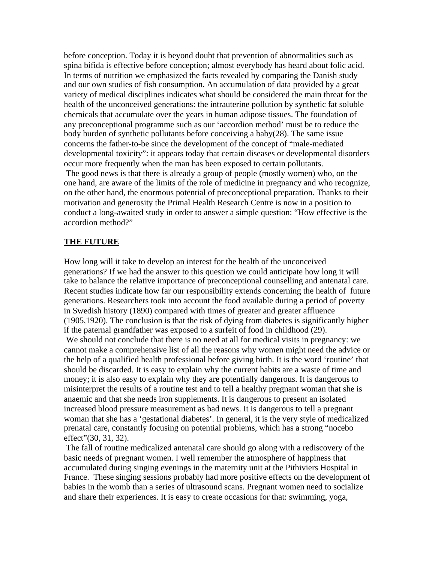before conception. Today it is beyond doubt that prevention of abnormalities such as spina bifida is effective before conception; almost everybody has heard about folic acid. In terms of nutrition we emphasized the facts revealed by comparing the Danish study and our own studies of fish consumption. An accumulation of data provided by a great variety of medical disciplines indicates what should be considered the main threat for the health of the unconceived generations: the intrauterine pollution by synthetic fat soluble chemicals that accumulate over the years in human adipose tissues. The foundation of any preconceptional programme such as our 'accordion method' must be to reduce the body burden of synthetic pollutants before conceiving a baby(28). The same issue concerns the father-to-be since the development of the concept of "male-mediated developmental toxicity": it appears today that certain diseases or developmental disorders occur more frequently when the man has been exposed to certain pollutants. The good news is that there is already a group of people (mostly women) who, on the one hand, are aware of the limits of the role of medicine in pregnancy and who recognize, on the other hand, the enormous potential of preconceptional preparation. Thanks to their motivation and generosity the Primal Health Research Centre is now in a position to conduct a long-awaited study in order to answer a simple question: "How effective is the accordion method?"

### **THE FUTURE**

How long will it take to develop an interest for the health of the unconceived generations? If we had the answer to this question we could anticipate how long it will take to balance the relative importance of preconceptional counselling and antenatal care. Recent studies indicate how far our responsibility extends concerning the health of future generations. Researchers took into account the food available during a period of poverty in Swedish history (1890) compared with times of greater and greater affluence (1905,1920). The conclusion is that the risk of dying from diabetes is significantly higher if the paternal grandfather was exposed to a surfeit of food in childhood (29).

 We should not conclude that there is no need at all for medical visits in pregnancy: we cannot make a comprehensive list of all the reasons why women might need the advice or the help of a qualified health professional before giving birth. It is the word 'routine' that should be discarded. It is easy to explain why the current habits are a waste of time and money; it is also easy to explain why they are potentially dangerous. It is dangerous to misinterpret the results of a routine test and to tell a healthy pregnant woman that she is anaemic and that she needs iron supplements. It is dangerous to present an isolated increased blood pressure measurement as bad news. It is dangerous to tell a pregnant woman that she has a 'gestational diabetes'. In general, it is the very style of medicalized prenatal care, constantly focusing on potential problems, which has a strong "nocebo effect"(30, 31, 32).

 The fall of routine medicalized antenatal care should go along with a rediscovery of the basic needs of pregnant women. I well remember the atmosphere of happiness that accumulated during singing evenings in the maternity unit at the Pithiviers Hospital in France. These singing sessions probably had more positive effects on the development of babies in the womb than a series of ultrasound scans. Pregnant women need to socialize and share their experiences. It is easy to create occasions for that: swimming, yoga,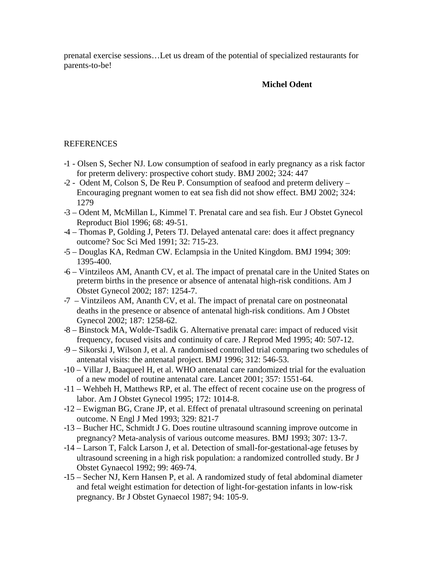prenatal exercise sessions…Let us dream of the potential of specialized restaurants for parents-to-be!

# **Michel Odent**

# REFERENCES

- -1 Olsen S, Secher NJ. Low consumption of seafood in early pregnancy as a risk factor for preterm delivery: prospective cohort study. BMJ 2002; 324: 447
- -2 Odent M, Colson S, De Reu P. Consumption of seafood and preterm delivery Encouraging pregnant women to eat sea fish did not show effect. BMJ 2002; 324: 1279
- -3 Odent M, McMillan L, Kimmel T. Prenatal care and sea fish. Eur J Obstet Gynecol Reproduct Biol 1996; 68: 49-51.
- -4 Thomas P, Golding J, Peters TJ. Delayed antenatal care: does it affect pregnancy outcome? Soc Sci Med 1991; 32: 715-23.
- -5 Douglas KA, Redman CW. Eclampsia in the United Kingdom. BMJ 1994; 309: 1395-400.
- -6 Vintzileos AM, Ananth CV, et al. The impact of prenatal care in the United States on preterm births in the presence or absence of antenatal high-risk conditions. Am J Obstet Gynecol 2002; 187: 1254-7.
- -7 Vintzileos AM, Ananth CV, et al. The impact of prenatal care on postneonatal deaths in the presence or absence of antenatal high-risk conditions. Am J Obstet Gynecol 2002; 187: 1258-62.
- -8 Binstock MA, Wolde-Tsadik G. Alternative prenatal care: impact of reduced visit frequency, focused visits and continuity of care. J Reprod Med 1995; 40: 507-12.
- -9 Sikorski J, Wilson J, et al. A randomised controlled trial comparing two schedules of antenatal visits: the antenatal project. BMJ 1996; 312: 546-53.
- -10 Villar J, Baaqueel H, et al. WHO antenatal care randomized trial for the evaluation of a new model of routine antenatal care. Lancet 2001; 357: 1551-64.
- -11 Wehbeh H, Matthews RP, et al. The effect of recent cocaine use on the progress of labor. Am J Obstet Gynecol 1995; 172: 1014-8.
- -12 Ewigman BG, Crane JP, et al. Effect of prenatal ultrasound screening on perinatal outcome. N Engl J Med 1993; 329: 821-7
- -13 Bucher HC, Schmidt J G. Does routine ultrasound scanning improve outcome in pregnancy? Meta-analysis of various outcome measures. BMJ 1993; 307: 13-7.
- -14 Larson T, Falck Larson J, et al. Detection of small-for-gestational-age fetuses by ultrasound screening in a high risk population: a randomized controlled study. Br J Obstet Gynaecol 1992; 99: 469-74.
- -15 Secher NJ, Kern Hansen P, et al. A randomized study of fetal abdominal diameter and fetal weight estimation for detection of light-for-gestation infants in low-risk pregnancy. Br J Obstet Gynaecol 1987; 94: 105-9.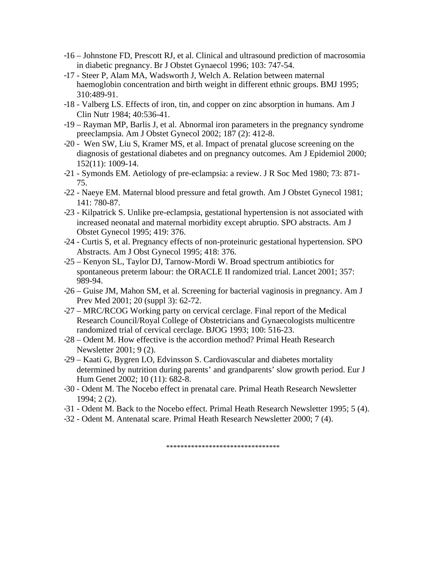- -16 Johnstone FD, Prescott RJ, et al. Clinical and ultrasound prediction of macrosomia in diabetic pregnancy. Br J Obstet Gynaecol 1996; 103: 747-54.
- -17 Steer P, Alam MA, Wadsworth J, Welch A. Relation between maternal haemoglobin concentration and birth weight in different ethnic groups. BMJ 1995; 310:489-91.
- -18 Valberg LS. Effects of iron, tin, and copper on zinc absorption in humans. Am J Clin Nutr 1984; 40:536-41.
- -19 Rayman MP, Barlis J, et al. Abnormal iron parameters in the pregnancy syndrome preeclampsia. Am J Obstet Gynecol 2002; 187 (2): 412-8.
- -20 Wen SW, Liu S, Kramer MS, et al. Impact of prenatal glucose screening on the diagnosis of gestational diabetes and on pregnancy outcomes. Am J Epidemiol 2000; 152(11): 1009-14.
- -21 Symonds EM. Aetiology of pre-eclampsia: a review. J R Soc Med 1980; 73: 871- 75.
- -22 Naeye EM. Maternal blood pressure and fetal growth. Am J Obstet Gynecol 1981; 141: 780-87.
- -23 Kilpatrick S. Unlike pre-eclampsia, gestational hypertension is not associated with increased neonatal and maternal morbidity except abruptio. SPO abstracts. Am J Obstet Gynecol 1995; 419: 376.
- -24 Curtis S, et al. Pregnancy effects of non-proteinuric gestational hypertension. SPO Abstracts. Am J Obst Gynecol 1995; 418: 376.
- -25 Kenyon SL, Taylor DJ, Tarnow-Mordi W. Broad spectrum antibiotics for spontaneous preterm labour: the ORACLE II randomized trial. Lancet 2001; 357: 989-94.
- -26 Guise JM, Mahon SM, et al. Screening for bacterial vaginosis in pregnancy. Am J Prev Med 2001; 20 (suppl 3): 62-72.
- -27 MRC/RCOG Working party on cervical cerclage. Final report of the Medical Research Council/Royal College of Obstetricians and Gynaecologists multicentre randomized trial of cervical cerclage. BJOG 1993; 100: 516-23.
- -28 Odent M. How effective is the accordion method? Primal Heath Research Newsletter 2001; 9 (2).
- -29 Kaati G, Bygren LO, Edvinsson S. Cardiovascular and diabetes mortality determined by nutrition during parents' and grandparents' slow growth period. Eur J Hum Genet 2002; 10 (11): 682-8.
- -30 Odent M. The Nocebo effect in prenatal care. Primal Heath Research Newsletter 1994; 2 (2).
- -31 Odent M. Back to the Nocebo effect. Primal Heath Research Newsletter 1995; 5 (4).
- -32 Odent M. Antenatal scare. Primal Heath Research Newsletter 2000; 7 (4).

\*\*\*\*\*\*\*\*\*\*\*\*\*\*\*\*\*\*\*\*\*\*\*\*\*\*\*\*\*\*\*\*